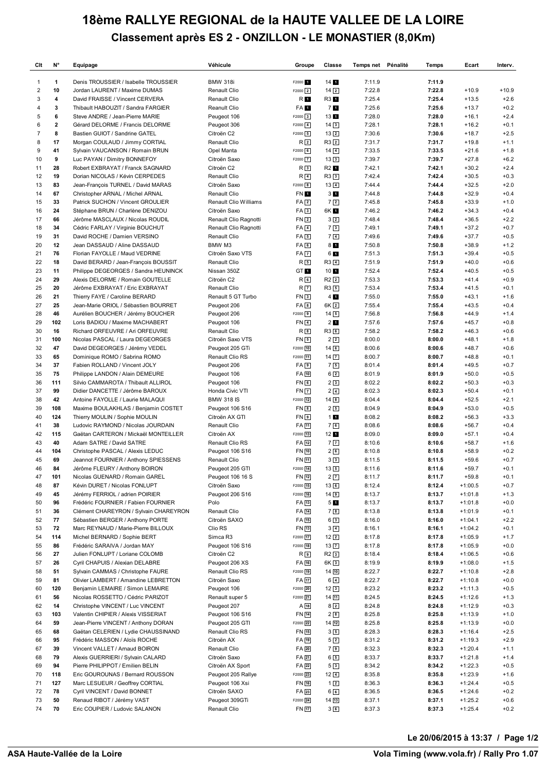## **18ème RALLYE REGIONAL de la HAUTE VALLEE DE LA LOIRE Classement après ES 2 - ONZILLON - LE MONASTIER (8,0Km)**

| Clt            | N°           | Equipage                                                                | Véhicule                       | Groupe                      | Classe                         | Temps net Pénalité | Temps            | Ecart                  | Interv.          |
|----------------|--------------|-------------------------------------------------------------------------|--------------------------------|-----------------------------|--------------------------------|--------------------|------------------|------------------------|------------------|
| 1              | 1            | Denis TROUSSIER / Isabelle TROUSSIER                                    | <b>BMW 318i</b>                | F2000 <sub>1</sub>          | 14 <sub>1</sub>                | 7:11.9             | 7:11.9           |                        |                  |
| $\overline{c}$ | 10           | Jordan LAURENT / Maxime DUMAS                                           | Renault Clio                   | F2000 2                     | $14\sqrt{2}$                   | 7:22.8             | 7:22.8           | $+10.9$                | $+10.9$          |
| 3              | 4            | David FRAISSE / Vincent CERVERA                                         | Renault Clio                   | R O                         | R3 1                           | 7:25.4             | 7:25.4           | $+13.5$                | $+2.6$           |
| 4              | 3            | Thibault HABOUZIT / Sandra FARGIER                                      | Reanult Clio                   | FA 1                        | 71                             | 7:25.6             | 7:25.6           | $+13.7$                | $+0.2$           |
| 5              | 6            | Steve ANDRE / Jean-Pierre MARIE                                         | Peugeot 106                    | $F2000$ 3                   | 131                            | 7:28.0             | 7:28.0           | $+16.1$                | $+2.4$           |
| 6              | $\mathbf{2}$ | Gérard DELORME / Francis DELORME                                        | Peugeot 306                    | $F2000$ $4$                 | $14\sqrt{3}$                   | 7:28.1             | 7:28.1           | $+16.2$                | $+0.1$           |
| $\overline{7}$ | 8            | Bastien GUIOT / Sandrine GATEL                                          | Citroën C2                     | $F2000$ 5                   | $13\sqrt{2}$                   | 7:30.6             | 7:30.6           | $+18.7$                | $+2.5$           |
| 8              | 17           | Morgan COULAUD / Jimmy CORTIAL                                          | Renault Clio                   | R <sub>2</sub>              | $R3$ <sup>2</sup>              | 7:31.7             | 7:31.7           | $+19.8$                | $+1.1$           |
| 9              | 41           | Sylvain VAUCANSON / Romain BRUN                                         | Opel Manta                     | $F2000$ 6                   | $14\sqrt{4}$                   | 7:33.5             | 7:33.5           | $+21.6$                | $+1.8$           |
| 10             | 9            | Luc PAYAN / Dimitry BONNEFOY                                            | Citroën Saxo                   | F2000 7                     | $13\sqrt{3}$                   | 7:39.7             | 7:39.7           | $+27.8$                | $+6.2$           |
| 11             | 28           | Robert EXBRAYAT / Franck SAGNARD                                        | Citroën C2                     | R <sub>3</sub>              | R2 1                           | 7:42.1             | 7:42.1           | $+30.2$                | $+2.4$           |
| 12<br>13       | 19<br>83     | Dorian NICOLAS / Kévin CERPEDES<br>Jean-François TURNEL / David MARAS   | Renault Clio<br>Citroën Saxo   | $R$ 4<br>F2000 8            | R33                            | 7:42.4<br>7:44.4   | 7:42.4<br>7:44.4 | $+30.5$<br>$+32.5$     | $+0.3$<br>$+2.0$ |
| 14             | 67           | Christopher ARNAL / Michel ARNAL                                        | Renault Clio                   | FN 1                        | $13\sqrt{4}$<br>3 <sub>1</sub> | 7:44.8             | 7:44.8           | $+32.9$                | $+0.4$           |
| 15             | 33           | Patrick SUCHON / Vincent GROULIER                                       | Renault Clio Williams          | FA <sub>2</sub>             | 72                             | 7:45.8             | 7:45.8           | $+33.9$                | $+1.0$           |
| 16             | 24           | Stéphane BRUN / Charlène DENIZOU                                        | Citroën Saxo                   | FA <sub>3</sub>             | 6K 1                           | 7:46.2             | 7:46.2           | $+34.3$                | $+0.4$           |
| 17             | 66           | Jérôme MASCLAUX / Nicolas ROUDIL                                        | Renault Clio Ragnotti          | FN <sub>2</sub>             | $3\sqrt{2}$                    | 7:48.4             | 7:48.4           | $+36.5$                | $+2.2$           |
| 18             | 34           | Cédric FARLAY / Virginie BOUCHUT                                        | Renault Clio Ragnotti          | $FA$ 4                      | 73                             | 7:49.1             | 7:49.1           | $+37.2$                | $+0.7$           |
| 19             | 31           | David ROCHE / Damien VERSINO                                            | Renault Clio                   | FA5                         | 7 <sub>4</sub>                 | 7:49.6             | 7:49.6           | $+37.7$                | $+0.5$           |
| 20             | 12           | Jean DASSAUD / Aline DASSAUD                                            | BMW M3                         | FA6                         | 8 <sub>1</sub>                 | 7:50.8             | 7:50.8           | $+38.9$                | $+1.2$           |
| 21             | 76           | Florian FAYOLLE / Maud VEDRINE                                          | Citroën Saxo VTS               | $FA$ $7$                    | 6 1                            | 7:51.3             | 7:51.3           | $+39.4$                | $+0.5$           |
| 22             | 18           | David BERARD / Jean-François BOUSSIT                                    | Renault Clio                   | $R_{5}$                     | $R3$ $4$                       | 7:51.9             | 7:51.9           | $+40.0$                | $+0.6$           |
| 23             | 11           | Philippe DEGEORGES / Sandra HEUNINCK                                    | Nissan 350Z                    | GT 1                        | 10 <sub>1</sub>                | 7:52.4             | 7:52.4           | $+40.5$                | $+0.5$           |
| 24             | 29           | Alexis DELORME / Romain GOUTELLE                                        | Citroën C2                     | $R_{6}$                     | $R2$ $2$                       | 7:53.3             | 7:53.3           | $+41.4$                | $+0.9$           |
| 25             | 20           | Jérôme EXBRAYAT / Eric EXBRAYAT                                         | Renault Clio                   | R <sub>7</sub>              | R35                            | 7:53.4             | 7:53.4           | $+41.5$                | $+0.1$           |
| 26             | 21           | Thierry FAYE / Caroline BERARD                                          | Renault 5 GT Turbo             | FN <sub>3</sub>             | 4 <sub>1</sub>                 | 7:55.0             | 7:55.0           | $+43.1$                | $+1.6$           |
| 27             | 25           | Jean-Marie ORIOL / Sébastien BOURRET                                    | Peugeot 206                    | FA <sub>8</sub>             | 6K <sub>2</sub>                | 7:55.4             | 7:55.4           | $+43.5$                | $+0.4$           |
| 28             | 46           | Aurélien BOUCHER / Jérémy BOUCHER                                       | Peugeot 206                    | F2000 9                     | $14\overline{5}$               | 7:56.8             | 7:56.8           | $+44.9$                | $+1.4$           |
| 29             | 102          | Loris BADIOU / Maxime MACHABERT                                         | Peugeot 106                    | FN <sub>4</sub>             | 2 <sub>1</sub>                 | 7:57.6             | 7:57.6           | $+45.7$                | $+0.8$           |
| 30             | 16           | Richard ORFEUVRE / Ari ORFEUVRE                                         | Renault Clio                   | $R_{8}$                     | R36                            | 7:58.2             | 7:58.2           | $+46.3$                | $+0.6$           |
| 31             | 100          | Nicolas PASCAL / Laura DEGEORGES                                        | Citroën Saxo VTS               | FN <sub>5</sub>             | 2 <sub>2</sub>                 | 8:00.0             | 8:00.0           | $+48.1$                | $+1.8$           |
| 32             | 47           | David DEGEORGES / Jérémy VEDEL                                          | Peugeot 205 GTi                | F2000 10                    | 146                            | 8:00.6             | 8:00.6           | $+48.7$                | $+0.6$           |
| 33<br>34       | 65<br>37     | Dominique ROMO / Sabrina ROMO<br>Fabien ROLLAND / Vincent JOLY          | Renault Clio RS<br>Peugeot 206 | F2000 11<br>FA <sub>9</sub> | 14 <sub>7</sub><br>75          | 8:00.7<br>8:01.4   | 8:00.7<br>8:01.4 | $+48.8$<br>$+49.5$     | $+0.1$<br>$+0.7$ |
| 35             | 75           | Philippe LANDON / Alain DEMEURE                                         | Peugeot 106                    | FA 10                       | $6\sqrt{2}$                    | 8:01.9             | 8:01.9           | $+50.0$                | $+0.5$           |
| 36             | 111          | Silvio CAMMAROTA / Thibault ALLIROL                                     | Peugeot 106                    | FN6                         | 23                             | 8:02.2             | 8:02.2           | $+50.3$                | $+0.3$           |
| 37             | 99           | Didier DANCETTE / Jérôme BAROUX                                         | Honda Civic VTI                | <b>FN7</b>                  | 2 <sub>4</sub>                 | 8:02.3             | 8:02.3           | $+50.4$                | $+0.1$           |
| 38             | 42           | Antoine FAYOLLE / Laurie MALAQUI                                        | <b>BMW 318 IS</b>              | F2000 12                    | $14 \overline{\ }8$            | 8:04.4             | 8:04.4           | $+52.5$                | $+2.1$           |
| 39             | 108          | Maxime BOULAKHLAS / Benjamin COSTET                                     | Peugeot 106 S16                | <b>FN</b> 8                 | 25                             | 8:04.9             | 8:04.9           | $+53.0$                | $+0.5$           |
| 40             | 124          | Thierry MOULIN / Sophie MOULIN                                          | Citroën AX GTI                 | FN <sub>9</sub>             | 11                             | 8:08.2             | 8:08.2           | $+56.3$                | $+3.3$           |
| 41             | 38           | Ludovic RAYMOND / Nicolas JOURDAIN                                      | Renault Clio                   | FA 11                       | 76                             | 8:08.6             | 8:08.6           | $+56.7$                | $+0.4$           |
| 42             | 115          | Gaëtan CARTERON / Mickaël MONTEILLER                                    | Citroën AX                     | F2000 13                    | 12 <sub>1</sub>                | 8:09.0             | 8:09.0           | $+57.1$                | $+0.4$           |
| 43             | 40           | Adam SATRE / David SATRE                                                | Renault Clio RS                | FA 12                       | 7 <sub>7</sub>                 | 8:10.6             | 8:10.6           | $+58.7$                | $+1.6$           |
| 44             | 104          | Christophe PASCAL / Alexis LEDUC                                        | Peugeot 106 S16                | FN 10                       | 26                             | 8:10.8             | 8:10.8           | $+58.9$                | $+0.2$           |
| 45             | 69           | Jeannot FOURNIER / Anthony SPIESSENS                                    | Renault Clio                   | FN 11                       | 3 <sup>3</sup>                 | 8:11.5             | 8:11.5           | $+59.6$                | $+0.7$           |
| 46             | 84           | Jérôme FLEURY / Anthony BOIRON                                          | Peugeot 205 GTI                | F2000 14                    | $13\overline{5}$               | 8:11.6             | 8:11.6           | $+59.7$                | $+0.1$           |
| 47             | 101          | Nicolas GUENARD / Romain GAREL                                          | Peugeot 106 16 S               | FN [12]                     | $2\sqrt{7}$                    | 8:11.7             | 8:11.7           | $+59.8$                | $+0.1$           |
| 48             | 87           | Kévin DURET / Nicolas FONLUPT                                           | Citroën Saxo                   | F2000 15                    | $13$ 6                         | 8:12.4             | 8:12.4           | $+1:00.5$              | $+0.7$           |
| 49             | 45           | Jérémy FERRIOL / adrien POIRIER                                         | Peugeot 206 S16                | F2000 <sup>16</sup>         | $14$ 9                         | 8:13.7             | 8:13.7           | $+1:01.8$              | $+1.3$           |
| 50             | 96           | Frédéric FOURNIER / Fabien FOURNIER                                     | Polo                           | FA 13                       | 5 <sub>1</sub>                 | 8:13.7             | 8:13.7           | $+1:01.8$              | $+0.0$           |
| 51             | 36           | Clément CHAREYRON / Sylvain CHAREYRON                                   | Renault Clio<br>Citroën SAXO   | FA 14                       | 72                             | 8:13.8             | 8:13.8           | $+1:01.9$              | $+0.1$           |
| 52<br>53       | 77<br>72     | Sébastien BERGER / Anthony PORTE<br>Marc REYNAUD / Marie-Pierre BILLOUX | Clio RS                        | FA 15<br>FN [13]            | $6\sqrt{3}$<br>$3\sqrt{4}$     | 8:16.0<br>8:16.1   | 8:16.0<br>8:16.1 | $+1:04.1$<br>$+1:04.2$ | $+2.2$<br>$+0.1$ |
| 54             | 114          | Michel BERNARD / Sophie BERT                                            | Simca R3                       | F2000 17                    | $12\sqrt{2}$                   | 8:17.8             | 8:17.8           | $+1:05.9$              | $+1.7$           |
| 55             | 86           | Frédéric SARAIVA / Jordan MAY                                           | Peugeot 106 S16                | F2000 18                    | $13\boxed{7}$                  | 8:17.8             | 8:17.8           | $+1:05.9$              | $+0.0$           |
| 56             | 27           | Julien FONLUPT / Loriane COLOMB                                         | Citroën C2                     | R D                         | $R2$ 3                         | 8:18.4             | 8:18.4           | $+1:06.5$              | $+0.6$           |
| 57             | 26           | Cyril CHAPUIS / Alexian DELABRE                                         | Peugeot 206 XS                 | FA 16                       | 6K 3                           | 8:19.9             | 8:19.9           | $+1:08.0$              | $+1.5$           |
| 58             | 51           | Sylvain CAMMAS / Christophe FAURE                                       | Renault Clio RS                | F2000 <sup>[19]</sup>       | $14$ $10$                      | 8:22.7             | 8:22.7           | $+1:10.8$              | $+2.8$           |
| 59             | 81           | Olivier LAMBERT / Amandine LEBRETTON                                    | Citroën Saxo                   | FA 17                       | $6\sqrt{4}$                    | 8:22.7             | 8:22.7           | $+1:10.8$              | $+0.0$           |
| 60             | 120          | Benjamin LEMAIRE / Simon LEMAIRE                                        | Peugeot 106                    | F2000 20                    | $12\sqrt{3}$                   | 8:23.2             | 8:23.2           | $+1:11.3$              | $+0.5$           |
| 61             | 56           | Nicolas ROSSETTO / Cédric PARIZOT                                       | Renault super 5                | F2000 21                    | $14\sqrt{11}$                  | 8:24.5             | 8:24.5           | $+1:12.6$              | $+1.3$           |
| 62             | 14           | Christophe VINCENT / Luc VINCENT                                        | Peugeot 207                    | $A$ $18$                    | $8\sqrt{2}$                    | 8:24.8             | 8:24.8           | $+1:12.9$              | $+0.3$           |
| 63             | 103          | Valentin CHIPIER / Alexis VISSERIAT                                     | Peugeot 106 S16                | FN [14]                     | 2 <sub>8</sub>                 | 8:25.8             | 8:25.8           | $+1:13.9$              | $+1.0$           |
| 64             | 59           | Jean-Pierre VINCENT / Anthony DORAN                                     | Peugeot 205 GTI                | F2000 22                    | $14$ $12$                      | 8:25.8             | 8:25.8           | $+1:13.9$              | $+0.0$           |
| 65             | 68           | Gaëtan CELERIEN / Lydie CHAUSSINAND                                     | Renault Clio RS                | FN [15]                     | $3\sqrt{5}$                    | 8:28.3             | 8:28.3           | $+1:16.4$              | $+2.5$           |
| 66             | 95           | Frédéric MASSON / Aloïs ROCHE                                           | Citroën AX                     | FA 19                       | $5\sqrt{2}$                    | 8:31.2             | 8:31.2           | $+1:19.3$              | $+2.9$           |
| 67             | 39           | Vincent VALLET / Arnaud BOIRON                                          | Renault Clio                   | FA 20                       | 79                             | 8:32.3             | 8:32.3           | $+1:20.4$              | $+1.1$           |
| 68             | 79           | Alexis GUERRIERI / Sylvain CALARD                                       | Citroën Saxo                   | FA 21                       | 65                             | 8:33.7             | 8:33.7           | $+1:21.8$              | $+1.4$           |
| 69             | 94           | Pierre PHILIPPOT / Emilien BELIN                                        | Citroën AX Sport               | FA 22                       | 53                             | 8:34.2             | 8:34.2           | $+1:22.3$              | $+0.5$           |
| 70             | 118          | Eric GOUROUNAS / Bernard ROUSSON                                        | Peugeot 205 Rallye             | F2000 23                    | $12\sqrt{4}$                   | 8:35.8             | 8:35.8           | $+1:23.9$              | $+1.6$           |
| 71             | 127          | Marc LESUEUR / Geoffrey CORTIAL                                         | Peugeot 106 Xsi                | FN 16                       | $1\sqrt{2}$                    | 8:36.3             | 8:36.3           | $+1:24.4$              | $+0.5$           |
| 72<br>73       | 78<br>50     | Cyril VINCENT / David BONNET<br>Renaud RIBOT / Jérémy VAST              | Citroën SAXO<br>Peugeot 309GTi | FA 23<br>F2000 24           | 66<br>$14$ $13$                | 8:36.5<br>8:37.1   | 8:36.5<br>8:37.1 | $+1:24.6$<br>$+1:25.2$ | $+0.2$<br>$+0.6$ |
| 74             | 70           | Eric COUPIER / Ludovic SALANON                                          | Renault Clio                   | FN 17                       | 36                             | 8:37.3             | 8:37.3           | $+1:25.4$              | $+0.2$           |
|                |              |                                                                         |                                |                             |                                |                    |                  |                        |                  |

**Le 20/06/2015 à 13:37 / Page 1/2**